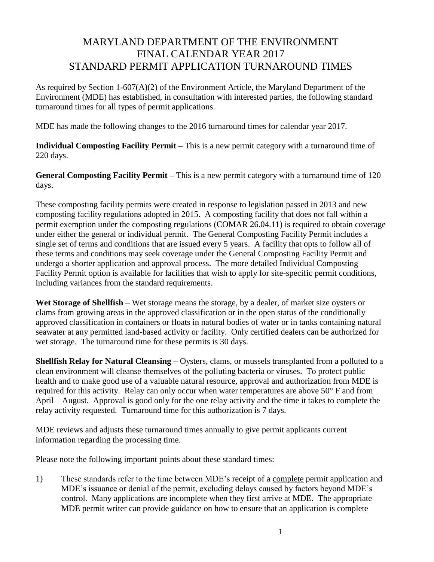## MARYLAND DEPARTMENT OF THE ENVIRONMENT FINAL CALENDAR YEAR 2017 STANDARD PERMIT APPLICATION TURNAROUND TIMES

As required by Section 1-607(A)(2) of the Environment Article, the Maryland Department of the Environment (MDE) has established, in consultation with interested parties, the following standard turnaround times for all types of permit applications.

MDE has made the following changes to the 2016 turnaround times for calendar year 2017.

**Individual Composting Facility Permit –** This is a new permit category with a turnaround time of 220 days.

**General Composting Facility Permit –** This is a new permit category with a turnaround time of 120 days.

These composting facility permits were created in response to legislation passed in 2013 and new composting facility regulations adopted in 2015. A composting facility that does not fall within a permit exemption under the composting regulations (COMAR 26.04.11) is required to obtain coverage under either the general or individual permit. The General Composting Facility Permit includes a single set of terms and conditions that are issued every 5 years. A facility that opts to follow all of these terms and conditions may seek coverage under the General Composting Facility Permit and undergo a shorter application and approval process. The more detailed Individual Composting Facility Permit option is available for facilities that wish to apply for site-specific permit conditions, including variances from the standard requirements.

**Wet Storage of Shellfish** – Wet storage means the storage, by a dealer, of market size oysters or clams from growing areas in the approved classification or in the open status of the conditionally approved classification in containers or floats in natural bodies of water or in tanks containing natural seawater at any permitted land-based activity or facility. Only certified dealers can be authorized for wet storage. The turnaround time for these permits is 30 days.

**Shellfish Relay for Natural Cleansing** – Oysters, clams, or mussels transplanted from a polluted to a clean environment will cleanse themselves of the polluting bacteria or viruses. To protect public health and to make good use of a valuable natural resource, approval and authorization from MDE is required for this activity. Relay can only occur when water temperatures are above 50° F and from April – August. Approval is good only for the one relay activity and the time it takes to complete the relay activity requested. Turnaround time for this authorization is 7 days.

MDE reviews and adjusts these turnaround times annually to give permit applicants current information regarding the processing time.

Please note the following important points about these standard times:

1) These standards refer to the time between MDE's receipt of a complete permit application and MDE's issuance or denial of the permit, excluding delays caused by factors beyond MDE's control. Many applications are incomplete when they first arrive at MDE. The appropriate MDE permit writer can provide guidance on how to ensure that an application is complete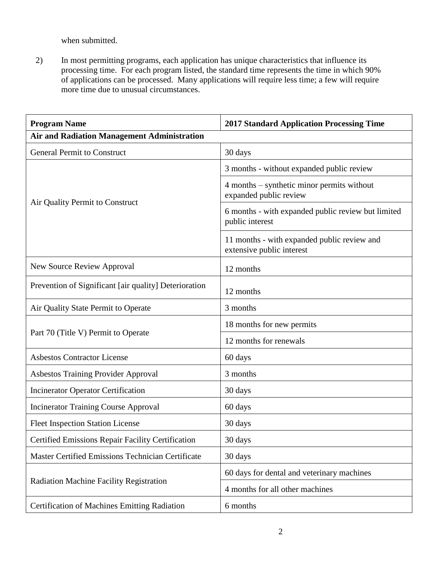when submitted.

2) In most permitting programs, each application has unique characteristics that influence its processing time. For each program listed, the standard time represents the time in which 90% of applications can be processed. Many applications will require less time; a few will require more time due to unusual circumstances.

| <b>Program Name</b>                                   | <b>2017 Standard Application Processing Time</b>                         |
|-------------------------------------------------------|--------------------------------------------------------------------------|
| <b>Air and Radiation Management Administration</b>    |                                                                          |
| <b>General Permit to Construct</b>                    | 30 days                                                                  |
| Air Quality Permit to Construct                       | 3 months - without expanded public review                                |
|                                                       | 4 months – synthetic minor permits without<br>expanded public review     |
|                                                       | 6 months - with expanded public review but limited<br>public interest    |
|                                                       | 11 months - with expanded public review and<br>extensive public interest |
| <b>New Source Review Approval</b>                     | 12 months                                                                |
| Prevention of Significant [air quality] Deterioration | 12 months                                                                |
| Air Quality State Permit to Operate                   | 3 months                                                                 |
|                                                       | 18 months for new permits                                                |
| Part 70 (Title V) Permit to Operate                   | 12 months for renewals                                                   |
| <b>Asbestos Contractor License</b>                    | 60 days                                                                  |
| <b>Asbestos Training Provider Approval</b>            | 3 months                                                                 |
| <b>Incinerator Operator Certification</b>             | 30 days                                                                  |
| <b>Incinerator Training Course Approval</b>           | 60 days                                                                  |
| <b>Fleet Inspection Station License</b>               | 30 days                                                                  |
| Certified Emissions Repair Facility Certification     | 30 days                                                                  |
| Master Certified Emissions Technician Certificate     | 30 days                                                                  |
| Radiation Machine Facility Registration               | 60 days for dental and veterinary machines                               |
|                                                       | 4 months for all other machines                                          |
| <b>Certification of Machines Emitting Radiation</b>   | 6 months                                                                 |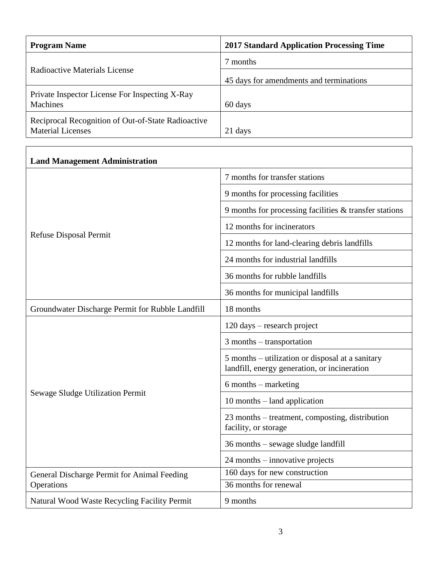| <b>Program Name</b>                                                            | <b>2017 Standard Application Processing Time</b> |
|--------------------------------------------------------------------------------|--------------------------------------------------|
| Radioactive Materials License                                                  | 7 months                                         |
|                                                                                | 45 days for amendments and terminations          |
| Private Inspector License For Inspecting X-Ray<br><b>Machines</b>              | 60 days                                          |
| Reciprocal Recognition of Out-of-State Radioactive<br><b>Material Licenses</b> | days                                             |

 $\overline{1}$ 

| <b>Land Management Administration</b>            |                                                                                                  |
|--------------------------------------------------|--------------------------------------------------------------------------------------------------|
| Refuse Disposal Permit                           | 7 months for transfer stations                                                                   |
|                                                  | 9 months for processing facilities                                                               |
|                                                  | 9 months for processing facilities & transfer stations                                           |
|                                                  | 12 months for incinerators                                                                       |
|                                                  | 12 months for land-clearing debris landfills                                                     |
|                                                  | 24 months for industrial landfills                                                               |
|                                                  | 36 months for rubble landfills                                                                   |
|                                                  | 36 months for municipal landfills                                                                |
| Groundwater Discharge Permit for Rubble Landfill | 18 months                                                                                        |
| Sewage Sludge Utilization Permit                 | 120 days – research project                                                                      |
|                                                  | 3 months – transportation                                                                        |
|                                                  | 5 months – utilization or disposal at a sanitary<br>landfill, energy generation, or incineration |
|                                                  | $6$ months – marketing                                                                           |
|                                                  | 10 months – land application                                                                     |
|                                                  | 23 months – treatment, composting, distribution<br>facility, or storage                          |
|                                                  | 36 months – sewage sludge landfill                                                               |
|                                                  | 24 months – innovative projects                                                                  |
| General Discharge Permit for Animal Feeding      | 160 days for new construction                                                                    |
| Operations                                       | 36 months for renewal                                                                            |
| Natural Wood Waste Recycling Facility Permit     | 9 months                                                                                         |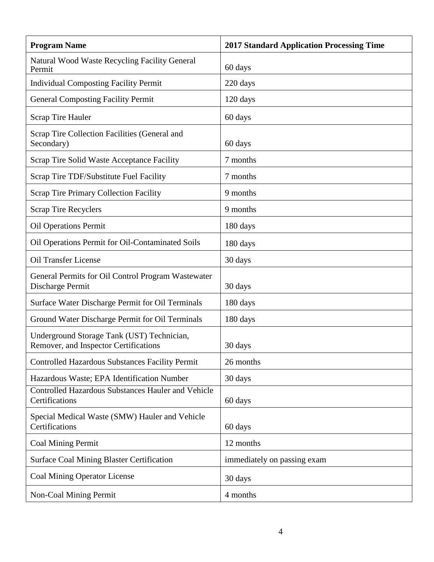| <b>Program Name</b>                                                                 | <b>2017 Standard Application Processing Time</b> |
|-------------------------------------------------------------------------------------|--------------------------------------------------|
| Natural Wood Waste Recycling Facility General<br>Permit                             | 60 days                                          |
| <b>Individual Composting Facility Permit</b>                                        | 220 days                                         |
| <b>General Composting Facility Permit</b>                                           | $120 \text{ days}$                               |
| <b>Scrap Tire Hauler</b>                                                            | 60 days                                          |
| Scrap Tire Collection Facilities (General and<br>Secondary)                         | 60 days                                          |
| Scrap Tire Solid Waste Acceptance Facility                                          | 7 months                                         |
| Scrap Tire TDF/Substitute Fuel Facility                                             | 7 months                                         |
| <b>Scrap Tire Primary Collection Facility</b>                                       | 9 months                                         |
| <b>Scrap Tire Recyclers</b>                                                         | 9 months                                         |
| <b>Oil Operations Permit</b>                                                        | 180 days                                         |
| Oil Operations Permit for Oil-Contaminated Soils                                    | 180 days                                         |
| <b>Oil Transfer License</b>                                                         | 30 days                                          |
| General Permits for Oil Control Program Wastewater<br>Discharge Permit              | 30 days                                          |
| Surface Water Discharge Permit for Oil Terminals                                    | 180 days                                         |
| Ground Water Discharge Permit for Oil Terminals                                     | 180 days                                         |
| Underground Storage Tank (UST) Technician,<br>Remover, and Inspector Certifications | 30 days                                          |
| <b>Controlled Hazardous Substances Facility Permit</b>                              | 26 months                                        |
| Hazardous Waste; EPA Identification Number                                          | 30 days                                          |
| <b>Controlled Hazardous Substances Hauler and Vehicle</b><br>Certifications         | 60 days                                          |
| Special Medical Waste (SMW) Hauler and Vehicle<br>Certifications                    | 60 days                                          |
| <b>Coal Mining Permit</b>                                                           | 12 months                                        |
| <b>Surface Coal Mining Blaster Certification</b>                                    | immediately on passing exam                      |
| <b>Coal Mining Operator License</b>                                                 | 30 days                                          |
| Non-Coal Mining Permit                                                              | 4 months                                         |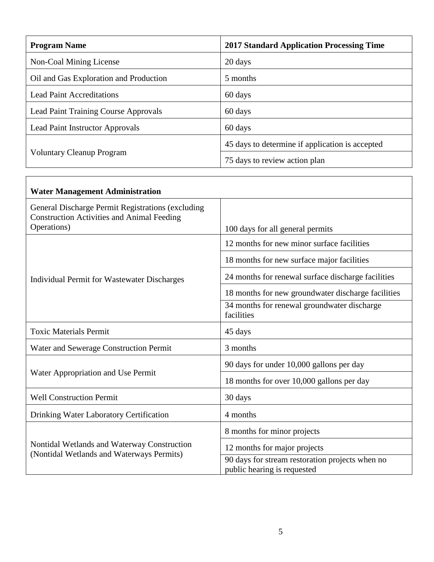| <b>Program Name</b>                         | <b>2017 Standard Application Processing Time</b> |
|---------------------------------------------|--------------------------------------------------|
| Non-Coal Mining License                     | 20 days                                          |
| Oil and Gas Exploration and Production      | 5 months                                         |
| <b>Lead Paint Accreditations</b>            | 60 days                                          |
| <b>Lead Paint Training Course Approvals</b> | 60 days                                          |
| Lead Paint Instructor Approvals             | 60 days                                          |
| <b>Voluntary Cleanup Program</b>            | 45 days to determine if application is accepted  |
|                                             | 75 days to review action plan                    |

| <b>Water Management Administration</b>                                                                 |                                                                                |
|--------------------------------------------------------------------------------------------------------|--------------------------------------------------------------------------------|
| General Discharge Permit Registrations (excluding<br><b>Construction Activities and Animal Feeding</b> |                                                                                |
| Operations)                                                                                            | 100 days for all general permits                                               |
| Individual Permit for Wastewater Discharges                                                            | 12 months for new minor surface facilities                                     |
|                                                                                                        | 18 months for new surface major facilities                                     |
|                                                                                                        | 24 months for renewal surface discharge facilities                             |
|                                                                                                        | 18 months for new groundwater discharge facilities                             |
|                                                                                                        | 34 months for renewal groundwater discharge<br>facilities                      |
| <b>Toxic Materials Permit</b>                                                                          | 45 days                                                                        |
| Water and Sewerage Construction Permit                                                                 | 3 months                                                                       |
| Water Appropriation and Use Permit                                                                     | 90 days for under 10,000 gallons per day                                       |
|                                                                                                        | 18 months for over 10,000 gallons per day                                      |
| <b>Well Construction Permit</b>                                                                        | 30 days                                                                        |
| Drinking Water Laboratory Certification                                                                | 4 months                                                                       |
| Nontidal Wetlands and Waterway Construction<br>(Nontidal Wetlands and Waterways Permits)               | 8 months for minor projects                                                    |
|                                                                                                        | 12 months for major projects                                                   |
|                                                                                                        | 90 days for stream restoration projects when no<br>public hearing is requested |